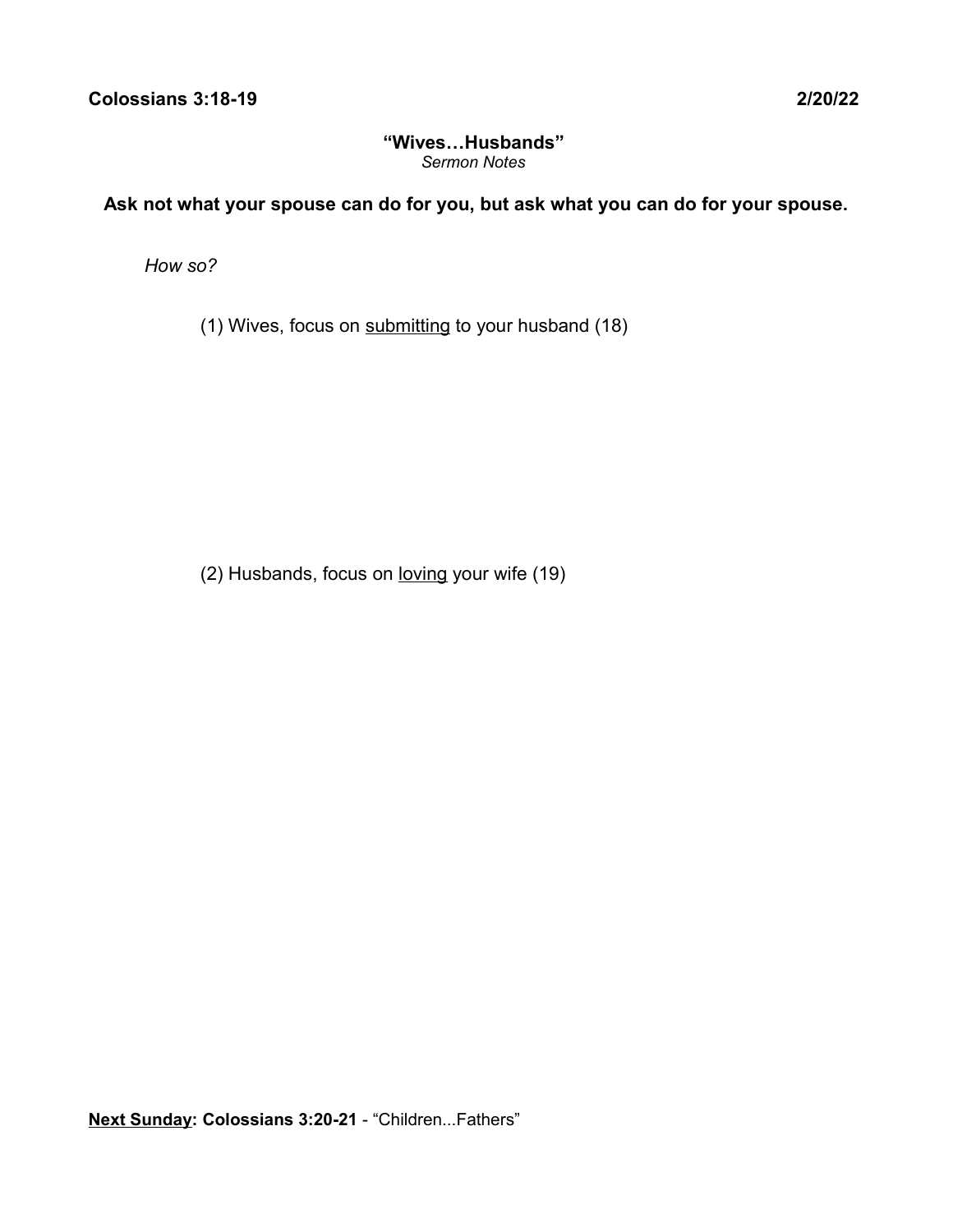# **"Wives…Husbands"** *Sermon Notes*

# **Ask not what your spouse can do for you, but ask what you can do for your spouse.**

*How so?*

(1) Wives, focus on submitting to your husband (18)

(2) Husbands, focus on loving your wife (19)

**Next Sunday: Colossians 3:20-21** - "Children...Fathers"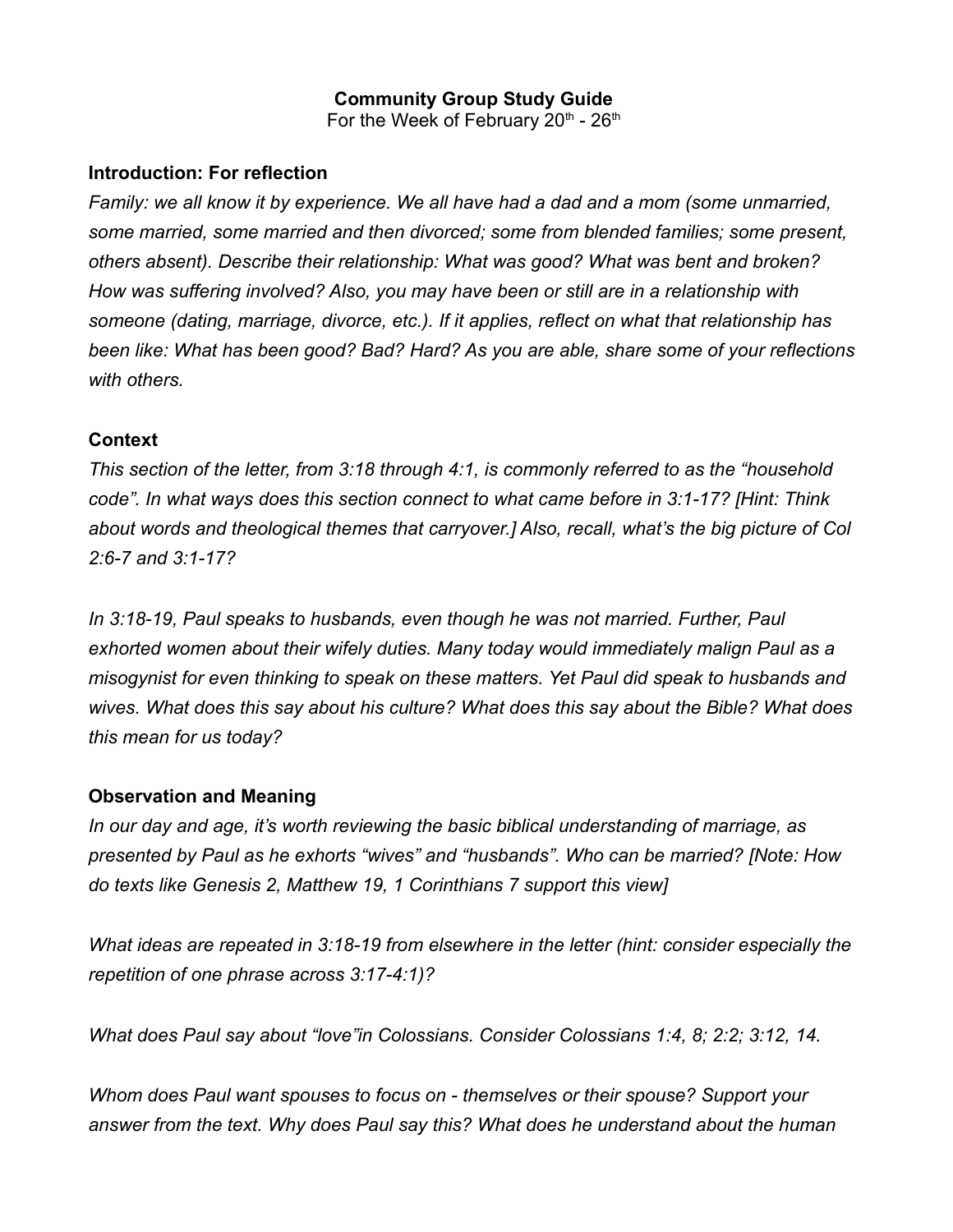# **Community Group Study Guide**

For the Week of February  $20<sup>th</sup>$  -  $26<sup>th</sup>$ 

#### **Introduction: For reflection**

*Family: we all know it by experience. We all have had a dad and a mom (some unmarried, some married, some married and then divorced; some from blended families; some present, others absent). Describe their relationship: What was good? What was bent and broken? How was suffering involved? Also, you may have been or still are in a relationship with someone (dating, marriage, divorce, etc.). If it applies, reflect on what that relationship has been like: What has been good? Bad? Hard? As you are able, share some of your reflections with others.*

# **Context**

*This section of the letter, from 3:18 through 4:1, is commonly referred to as the "household code". In what ways does this section connect to what came before in 3:1-17? [Hint: Think about words and theological themes that carryover.] Also, recall, what's the big picture of Col 2:6-7 and 3:1-17?*

*In 3:18-19, Paul speaks to husbands, even though he was not married. Further, Paul exhorted women about their wifely duties. Many today would immediately malign Paul as a misogynist for even thinking to speak on these matters. Yet Paul did speak to husbands and wives. What does this say about his culture? What does this say about the Bible? What does this mean for us today?*

#### **Observation and Meaning**

*In our day and age, it's worth reviewing the basic biblical understanding of marriage, as presented by Paul as he exhorts "wives" and "husbands". Who can be married? [Note: How do texts like Genesis 2, Matthew 19, 1 Corinthians 7 support this view]*

*What ideas are repeated in 3:18-19 from elsewhere in the letter (hint: consider especially the repetition of one phrase across 3:17-4:1)?*

*What does Paul say about "love"in Colossians. Consider Colossians 1:4, 8; 2:2; 3:12, 14.*

*Whom does Paul want spouses to focus on - themselves or their spouse? Support your answer from the text. Why does Paul say this? What does he understand about the human*